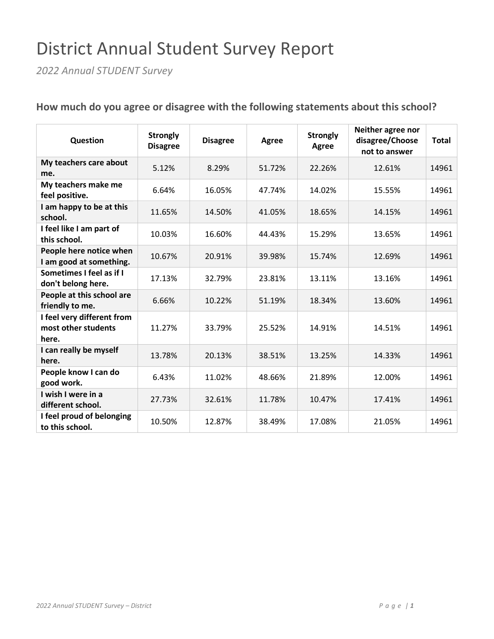## District Annual Student Survey Report

*2022 Annual STUDENT Survey*

| Question                                                   | <b>Strongly</b><br><b>Disagree</b> | <b>Disagree</b> | Agree  | <b>Strongly</b><br>Agree | Neither agree nor<br>disagree/Choose<br>not to answer | <b>Total</b> |
|------------------------------------------------------------|------------------------------------|-----------------|--------|--------------------------|-------------------------------------------------------|--------------|
| My teachers care about<br>me.                              | 5.12%                              | 8.29%           | 51.72% | 22.26%                   | 12.61%                                                | 14961        |
| My teachers make me<br>feel positive.                      | 6.64%                              | 16.05%          | 47.74% | 14.02%                   | 15.55%                                                | 14961        |
| I am happy to be at this<br>school.                        | 11.65%                             | 14.50%          | 41.05% | 18.65%                   | 14.15%                                                | 14961        |
| I feel like I am part of<br>this school.                   | 10.03%                             | 16.60%          | 44.43% | 15.29%                   | 13.65%                                                | 14961        |
| People here notice when<br>I am good at something.         | 10.67%                             | 20.91%          | 39.98% | 15.74%                   | 12.69%                                                | 14961        |
| Sometimes I feel as if I<br>don't belong here.             | 17.13%                             | 32.79%          | 23.81% | 13.11%                   | 13.16%                                                | 14961        |
| People at this school are<br>friendly to me.               | 6.66%                              | 10.22%          | 51.19% | 18.34%                   | 13.60%                                                | 14961        |
| I feel very different from<br>most other students<br>here. | 11.27%                             | 33.79%          | 25.52% | 14.91%                   | 14.51%                                                | 14961        |
| I can really be myself<br>here.                            | 13.78%                             | 20.13%          | 38.51% | 13.25%                   | 14.33%                                                | 14961        |
| People know I can do<br>good work.                         | 6.43%                              | 11.02%          | 48.66% | 21.89%                   | 12.00%                                                | 14961        |
| I wish I were in a<br>different school.                    | 27.73%                             | 32.61%          | 11.78% | 10.47%                   | 17.41%                                                | 14961        |
| I feel proud of belonging<br>to this school.               | 10.50%                             | 12.87%          | 38.49% | 17.08%                   | 21.05%                                                | 14961        |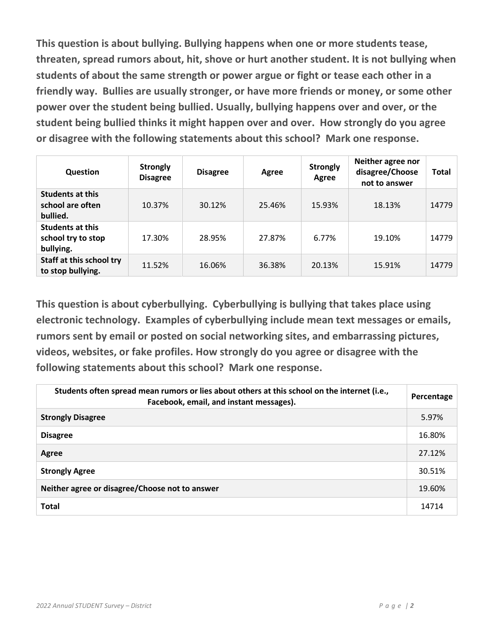**This question is about bullying. Bullying happens when one or more students tease, threaten, spread rumors about, hit, shove or hurt another student. It is not bullying when students of about the same strength or power argue or fight or tease each other in a friendly way. Bullies are usually stronger, or have more friends or money, or some other power over the student being bullied. Usually, bullying happens over and over, or the student being bullied thinks it might happen over and over. How strongly do you agree or disagree with the following statements about this school? Mark one response.**

| <b>Question</b>                                            | <b>Strongly</b><br><b>Disagree</b> | <b>Disagree</b> | <b>Agree</b> | <b>Strongly</b><br>Agree | Neither agree nor<br>disagree/Choose<br>not to answer | Total |
|------------------------------------------------------------|------------------------------------|-----------------|--------------|--------------------------|-------------------------------------------------------|-------|
| <b>Students at this</b><br>school are often<br>bullied.    | 10.37%                             | 30.12%          | 25.46%       | 15.93%                   | 18.13%                                                | 14779 |
| <b>Students at this</b><br>school try to stop<br>bullying. | 17.30%                             | 28.95%          | 27.87%       | 6.77%                    | 19.10%                                                | 14779 |
| Staff at this school try<br>to stop bullying.              | 11.52%                             | 16.06%          | 36.38%       | 20.13%                   | 15.91%                                                | 14779 |

**This question is about cyberbullying. Cyberbullying is bullying that takes place using electronic technology. Examples of cyberbullying include mean text messages or emails, rumors sent by email or posted on social networking sites, and embarrassing pictures, videos, websites, or fake profiles. How strongly do you agree or disagree with the following statements about this school? Mark one response.**

| Students often spread mean rumors or lies about others at this school on the internet (i.e.,<br>Facebook, email, and instant messages). | Percentage |
|-----------------------------------------------------------------------------------------------------------------------------------------|------------|
| <b>Strongly Disagree</b>                                                                                                                | 5.97%      |
| <b>Disagree</b>                                                                                                                         | 16.80%     |
| <b>Agree</b>                                                                                                                            | 27.12%     |
| <b>Strongly Agree</b>                                                                                                                   | 30.51%     |
| Neither agree or disagree/Choose not to answer                                                                                          | 19.60%     |
| <b>Total</b>                                                                                                                            | 14714      |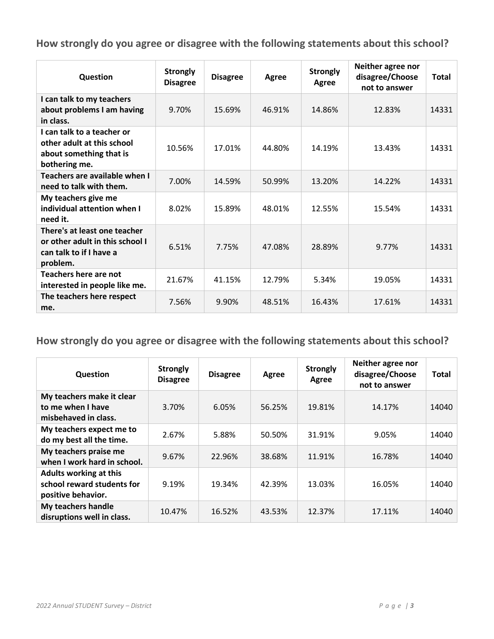| Question                                                                                               | <b>Strongly</b><br><b>Disagree</b> | <b>Disagree</b> | Agree  | <b>Strongly</b><br>Agree | Neither agree nor<br>disagree/Choose<br>not to answer | <b>Total</b> |
|--------------------------------------------------------------------------------------------------------|------------------------------------|-----------------|--------|--------------------------|-------------------------------------------------------|--------------|
| I can talk to my teachers<br>about problems I am having<br>in class.                                   | 9.70%                              | 15.69%          | 46.91% | 14.86%                   | 12.83%                                                | 14331        |
| I can talk to a teacher or<br>other adult at this school<br>about something that is<br>bothering me.   | 10.56%                             | 17.01%          | 44.80% | 14.19%                   | 13.43%                                                | 14331        |
| Teachers are available when I<br>need to talk with them.                                               | 7.00%                              | 14.59%          | 50.99% | 13.20%                   | 14.22%                                                | 14331        |
| My teachers give me<br>individual attention when I<br>need it.                                         | 8.02%                              | 15.89%          | 48.01% | 12.55%                   | 15.54%                                                | 14331        |
| There's at least one teacher<br>or other adult in this school I<br>can talk to if I have a<br>problem. | 6.51%                              | 7.75%           | 47.08% | 28.89%                   | 9.77%                                                 | 14331        |
| Teachers here are not<br>interested in people like me.                                                 | 21.67%                             | 41.15%          | 12.79% | 5.34%                    | 19.05%                                                | 14331        |
| The teachers here respect<br>me.                                                                       | 7.56%                              | 9.90%           | 48.51% | 16.43%                   | 17.61%                                                | 14331        |

| Question                                                                          | <b>Strongly</b><br><b>Disagree</b> | <b>Disagree</b> | Agree  | <b>Strongly</b><br>Agree | Neither agree nor<br>disagree/Choose<br>not to answer | Total |
|-----------------------------------------------------------------------------------|------------------------------------|-----------------|--------|--------------------------|-------------------------------------------------------|-------|
| My teachers make it clear<br>to me when I have<br>misbehaved in class.            | 3.70%                              | 6.05%           | 56.25% | 19.81%                   | 14.17%                                                | 14040 |
| My teachers expect me to<br>do my best all the time.                              | 2.67%                              | 5.88%           | 50.50% | 31.91%                   | 9.05%                                                 | 14040 |
| My teachers praise me<br>when I work hard in school.                              | 9.67%                              | 22.96%          | 38.68% | 11.91%                   | 16.78%                                                | 14040 |
| <b>Adults working at this</b><br>school reward students for<br>positive behavior. | 9.19%                              | 19.34%          | 42.39% | 13.03%                   | 16.05%                                                | 14040 |
| My teachers handle<br>disruptions well in class.                                  | 10.47%                             | 16.52%          | 43.53% | 12.37%                   | 17.11%                                                | 14040 |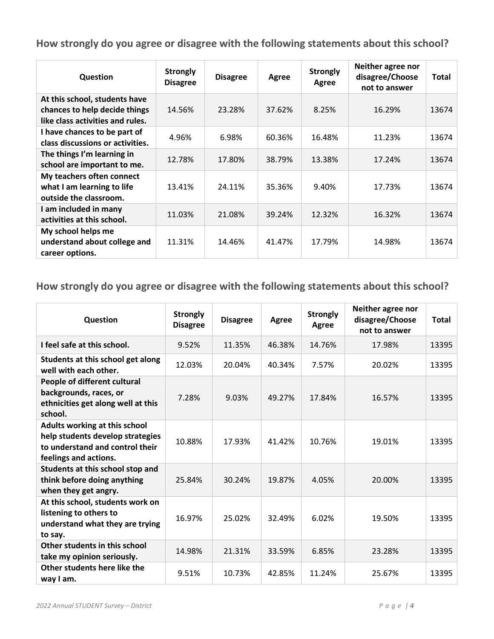| Question                                                                                           | <b>Strongly</b><br><b>Disagree</b> | <b>Disagree</b> | Agree  | <b>Strongly</b><br>Agree | Neither agree nor<br>disagree/Choose<br>not to answer | Total |
|----------------------------------------------------------------------------------------------------|------------------------------------|-----------------|--------|--------------------------|-------------------------------------------------------|-------|
| At this school, students have<br>chances to help decide things<br>like class activities and rules. | 14.56%                             | 23.28%          | 37.62% | 8.25%                    | 16.29%                                                | 13674 |
| I have chances to be part of<br>class discussions or activities.                                   | 4.96%                              | 6.98%           | 60.36% | 16.48%                   | 11.23%                                                | 13674 |
| The things I'm learning in<br>school are important to me.                                          | 12.78%                             | 17.80%          | 38.79% | 13.38%                   | 17.24%                                                | 13674 |
| My teachers often connect<br>what I am learning to life<br>outside the classroom.                  | 13.41%                             | 24.11%          | 35.36% | 9.40%                    | 17.73%                                                | 13674 |
| I am included in many<br>activities at this school.                                                | 11.03%                             | 21.08%          | 39.24% | 12.32%                   | 16.32%                                                | 13674 |
| My school helps me<br>understand about college and<br>career options.                              | 11.31%                             | 14.46%          | 41.47% | 17.79%                   | 14.98%                                                | 13674 |

| Question                                                                                                                      | <b>Strongly</b><br><b>Disagree</b> | <b>Disagree</b> | Agree  | <b>Strongly</b><br><b>Agree</b> | Neither agree nor<br>disagree/Choose<br>not to answer | <b>Total</b> |
|-------------------------------------------------------------------------------------------------------------------------------|------------------------------------|-----------------|--------|---------------------------------|-------------------------------------------------------|--------------|
| I feel safe at this school.                                                                                                   | 9.52%                              | 11.35%          | 46.38% | 14.76%                          | 17.98%                                                | 13395        |
| Students at this school get along<br>well with each other.                                                                    | 12.03%                             | 20.04%          | 40.34% | 7.57%                           | 20.02%                                                | 13395        |
| People of different cultural<br>backgrounds, races, or<br>ethnicities get along well at this<br>school.                       | 7.28%                              | 9.03%           | 49.27% | 17.84%                          | 16.57%                                                | 13395        |
| Adults working at this school<br>help students develop strategies<br>to understand and control their<br>feelings and actions. | 10.88%                             | 17.93%          | 41.42% | 10.76%                          | 19.01%                                                | 13395        |
| Students at this school stop and<br>think before doing anything<br>when they get angry.                                       | 25.84%                             | 30.24%          | 19.87% | 4.05%                           | 20.00%                                                | 13395        |
| At this school, students work on<br>listening to others to<br>understand what they are trying<br>to say.                      | 16.97%                             | 25.02%          | 32.49% | 6.02%                           | 19.50%                                                | 13395        |
| Other students in this school<br>take my opinion seriously.                                                                   | 14.98%                             | 21.31%          | 33.59% | 6.85%                           | 23.28%                                                | 13395        |
| Other students here like the<br>way I am.                                                                                     | 9.51%                              | 10.73%          | 42.85% | 11.24%                          | 25.67%                                                | 13395        |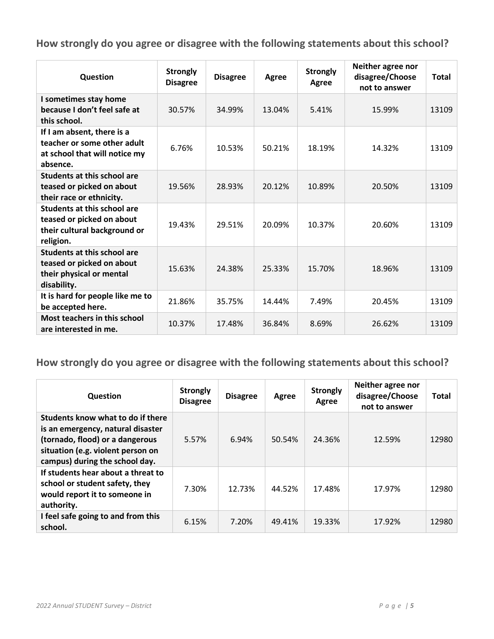| Question                                                                                                     | <b>Strongly</b><br><b>Disagree</b> | <b>Disagree</b> | Agree  | <b>Strongly</b><br>Agree | Neither agree nor<br>disagree/Choose<br>not to answer | <b>Total</b> |
|--------------------------------------------------------------------------------------------------------------|------------------------------------|-----------------|--------|--------------------------|-------------------------------------------------------|--------------|
| I sometimes stay home<br>because I don't feel safe at<br>this school.                                        | 30.57%                             | 34.99%          | 13.04% | 5.41%                    | 15.99%                                                | 13109        |
| If I am absent, there is a<br>teacher or some other adult<br>at school that will notice my<br>absence.       | 6.76%                              | 10.53%          | 50.21% | 18.19%                   | 14.32%                                                | 13109        |
| Students at this school are<br>teased or picked on about<br>their race or ethnicity.                         | 19.56%                             | 28.93%          | 20.12% | 10.89%                   | 20.50%                                                | 13109        |
| <b>Students at this school are</b><br>teased or picked on about<br>their cultural background or<br>religion. | 19.43%                             | 29.51%          | 20.09% | 10.37%                   | 20.60%                                                | 13109        |
| <b>Students at this school are</b><br>teased or picked on about<br>their physical or mental<br>disability.   | 15.63%                             | 24.38%          | 25.33% | 15.70%                   | 18.96%                                                | 13109        |
| It is hard for people like me to<br>be accepted here.                                                        | 21.86%                             | 35.75%          | 14.44% | 7.49%                    | 20.45%                                                | 13109        |
| <b>Most teachers in this school</b><br>are interested in me.                                                 | 10.37%                             | 17.48%          | 36.84% | 8.69%                    | 26.62%                                                | 13109        |

| <b>Question</b>                                                                                                                                                                  | <b>Strongly</b><br><b>Disagree</b> | <b>Disagree</b> | Agree  | <b>Strongly</b><br>Agree | Neither agree nor<br>disagree/Choose<br>not to answer | <b>Total</b> |
|----------------------------------------------------------------------------------------------------------------------------------------------------------------------------------|------------------------------------|-----------------|--------|--------------------------|-------------------------------------------------------|--------------|
| Students know what to do if there<br>is an emergency, natural disaster<br>(tornado, flood) or a dangerous<br>situation (e.g. violent person on<br>campus) during the school day. | 5.57%                              | 6.94%           | 50.54% | 24.36%                   | 12.59%                                                | 12980        |
| If students hear about a threat to<br>school or student safety, they<br>would report it to someone in<br>authority.                                                              | 7.30%                              | 12.73%          | 44.52% | 17.48%                   | 17.97%                                                | 12980        |
| I feel safe going to and from this<br>school.                                                                                                                                    | 6.15%                              | 7.20%           | 49.41% | 19.33%                   | 17.92%                                                | 12980        |